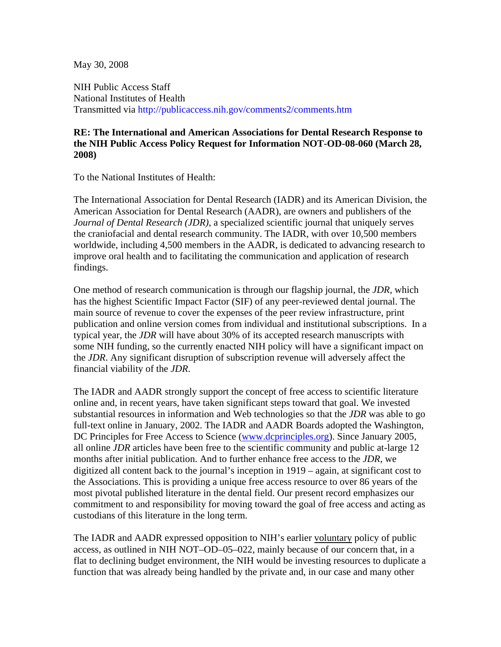May 30, 2008

NIH Public Access Staff National Institutes of Health Transmitted via http://publicaccess.nih.gov/comments2/comments.htm

## **RE: The International and American Associations for Dental Research Response to the NIH Public Access Policy Request for Information NOT-OD-08-060 (March 28, 2008)**

To the National Institutes of Health:

The International Association for Dental Research (IADR) and its American Division, the American Association for Dental Research (AADR), are owners and publishers of the *Journal of Dental Research (JDR)*, a specialized scientific journal that uniquely serves the craniofacial and dental research community. The IADR, with over 10,500 members worldwide, including 4,500 members in the AADR, is dedicated to advancing research to improve oral health and to facilitating the communication and application of research findings.

One method of research communication is through our flagship journal, the *JDR,* which has the highest Scientific Impact Factor (SIF) of any peer-reviewed dental journal. The main source of revenue to cover the expenses of the peer review infrastructure, print publication and online version comes from individual and institutional subscriptions. In a typical year, the *JDR* will have about 30% of its accepted research manuscripts with some NIH funding, so the currently enacted NIH policy will have a significant impact on the *JDR*. Any significant disruption of subscription revenue will adversely affect the financial viability of the *JDR*.

The IADR and AADR strongly support the concept of free access to scientific literature online and, in recent years, have taken significant steps toward that goal. We invested substantial resources in information and Web technologies so that the *JDR* was able to go full-text online in January, 2002. The IADR and AADR Boards adopted the Washington, DC Principles for Free Access to Science ([www.dcprinciples.org](http://www.dcprinciples.org/)). Since January 2005, all online *JDR* articles have been free to the scientific community and public at-large 12 months after initial publication. And to further enhance free access to the *JDR*, we digitized all content back to the journal's inception in 1919 – again, at significant cost to the Associations. This is providing a unique free access resource to over 86 years of the most pivotal published literature in the dental field. Our present record emphasizes our commitment to and responsibility for moving toward the goal of free access and acting as custodians of this literature in the long term.

The IADR and AADR expressed opposition to NIH's earlier voluntary policy of public access, as outlined in NIH NOT–OD–05–022, mainly because of our concern that, in a flat to declining budget environment, the NIH would be investing resources to duplicate a function that was already being handled by the private and, in our case and many other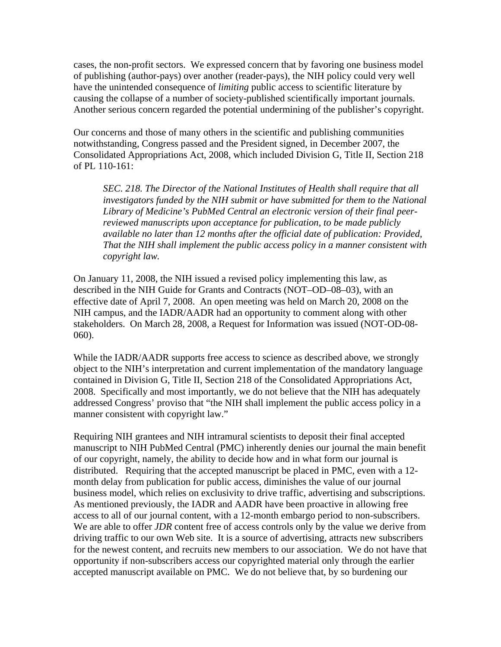cases, the non-profit sectors. We expressed concern that by favoring one business model of publishing (author-pays) over another (reader-pays), the NIH policy could very well have the unintended consequence of *limiting* public access to scientific literature by causing the collapse of a number of society-published scientifically important journals. Another serious concern regarded the potential undermining of the publisher's copyright.

Our concerns and those of many others in the scientific and publishing communities notwithstanding, Congress passed and the President signed, in December 2007, the Consolidated Appropriations Act, 2008, which included Division G, Title II, Section 218 of PL 110-161:

*SEC. 218. The Director of the National Institutes of Health shall require that all investigators funded by the NIH submit or have submitted for them to the National Library of Medicine's PubMed Central an electronic version of their final peerreviewed manuscripts upon acceptance for publication, to be made publicly available no later than 12 months after the official date of publication: Provided, That the NIH shall implement the public access policy in a manner consistent with copyright law.*

On January 11, 2008, the NIH issued a revised policy implementing this law, as described in the NIH Guide for Grants and Contracts (NOT–OD–08–03), with an effective date of April 7, 2008. An open meeting was held on March 20, 2008 on the NIH campus, and the IADR/AADR had an opportunity to comment along with other stakeholders. On March 28, 2008, a Request for Information was issued (NOT-OD-08- 060).

While the IADR/AADR supports free access to science as described above, we strongly object to the NIH's interpretation and current implementation of the mandatory language contained in Division G, Title II, Section 218 of the Consolidated Appropriations Act, 2008. Specifically and most importantly, we do not believe that the NIH has adequately addressed Congress' proviso that "the NIH shall implement the public access policy in a manner consistent with copyright law."

Requiring NIH grantees and NIH intramural scientists to deposit their final accepted manuscript to NIH PubMed Central (PMC) inherently denies our journal the main benefit of our copyright, namely, the ability to decide how and in what form our journal is distributed. Requiring that the accepted manuscript be placed in PMC, even with a 12 month delay from publication for public access, diminishes the value of our journal business model, which relies on exclusivity to drive traffic, advertising and subscriptions. As mentioned previously, the IADR and AADR have been proactive in allowing free access to all of our journal content, with a 12-month embargo period to non-subscribers. We are able to offer *JDR* content free of access controls only by the value we derive from driving traffic to our own Web site. It is a source of advertising, attracts new subscribers for the newest content, and recruits new members to our association. We do not have that opportunity if non-subscribers access our copyrighted material only through the earlier accepted manuscript available on PMC. We do not believe that, by so burdening our